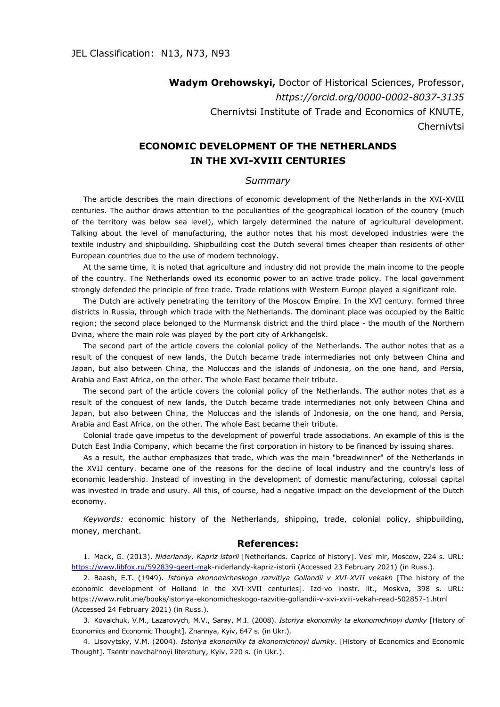**Wadym Orehowskyi,** Doctor of Historical Sciences, Professor, *https://orcid.org/0000-0002-8037-3135* Chernivtsi Institute of Trade and Economics of KNUTE, **Chernivtsi** 

## **ECONOMIC DEVELOPMENT OF THE NETHERLANDS IN THE XVI-XVIII CENTURIES**

## *Summary*

The article describes the main directions of economic development of the Netherlands in the XVI-XVIII centuries. The author draws attention to the peculiarities of the geographical location of the country (much of the territory was below sea level), which largely determined the nature of agricultural development. Talking about the level of manufacturing, the author notes that his most developed industries were the textile industry and shipbuilding. Shipbuilding cost the Dutch several times cheaper than residents of other European countries due to the use of modern technology.

At the same time, it is noted that agriculture and industry did not provide the main income to the people of the country. The Netherlands owed its economic power to an active trade policy. The local government strongly defended the principle of free trade. Trade relations with Western Europe played a significant role.

The Dutch are actively penetrating the territory of the Moscow Empire. In the XVI century. formed three districts in Russia, through which trade with the Netherlands. The dominant place was occupied by the Baltic region; the second place belonged to the Murmansk district and the third place - the mouth of the Northern Dvina, where the main role was played by the port city of Arkhangelsk.

The second part of the article covers the colonial policy of the Netherlands. The author notes that as a result of the conquest of new lands, the Dutch became trade intermediaries not only between China and Japan, but also between China, the Moluccas and the islands of Indonesia, on the one hand, and Persia, Arabia and East Africa, on the other. The whole East became their tribute.

The second part of the article covers the colonial policy of the Netherlands. The author notes that as a result of the conquest of new lands, the Dutch became trade intermediaries not only between China and Japan, but also between China, the Moluccas and the islands of Indonesia, on the one hand, and Persia, Arabia and East Africa, on the other. The whole East became their tribute.

Colonial trade gave impetus to the development of powerful trade associations. An example of this is the Dutch East India Company, which became the first corporation in history to be financed by issuing shares.

As a result, the author emphasizes that trade, which was the main "breadwinner" of the Netherlands in the XVII century. became one of the reasons for the decline of local industry and the country's loss of economic leadership. Instead of investing in the development of domestic manufacturing, colossal capital was invested in trade and usury. All this, of course, had a negative impact on the development of the Dutch economy.

*Keywords:* economic history of the Netherlands, shipping, trade, colonial policy, shipbuilding, money, merchant.

## **References:**

1. Mack, G. (2013). *Niderlandy. Kapriz istorii* [Netherlands. Caprice of history]. Ves' mir, Moscow, 224 s. URL: [https://www.libfox.ru/592839-geert-mak](https://www.libfox.ru/592839-geert-ma)-niderlandy-kapriz-istorii (Accessed 23 February 2021) (in Russ.).

2. Baash, E.T. (1949). *Istoriya ekonomicheskogo razvitiya Gollandii v XVI-XVII vekakh* [The history of the economic development of Holland in the XVI-XVII centuries]. Izd-vo inostr. lit., Moskva, 398 s. URL: https://www.rulit.me/books/istoriya-ekonomicheskogo-razvitie-gollandii-v-xvi-xviii-vekah-read-502857-1.html (Accessed 24 February 2021) (in Russ.).

3. Kovalchuk, V.M., Lazarovych, M.V., Saray, M.I. (2008). *Istoriya ekonomiky ta ekonomichnoyi dumky* [History of Economics and Economic Thought]. Znannya, Kyiv, 647 s. (in Ukr.).

4. Lisovytsky, V.M. (2004). *Istoriya ekonomiky ta ekonomichnoyi dumky*. [History of Economics and Economic Thought]. Tsentr navchalʹnoyi literatury, Kyiv, 220 s. (in Ukr.).